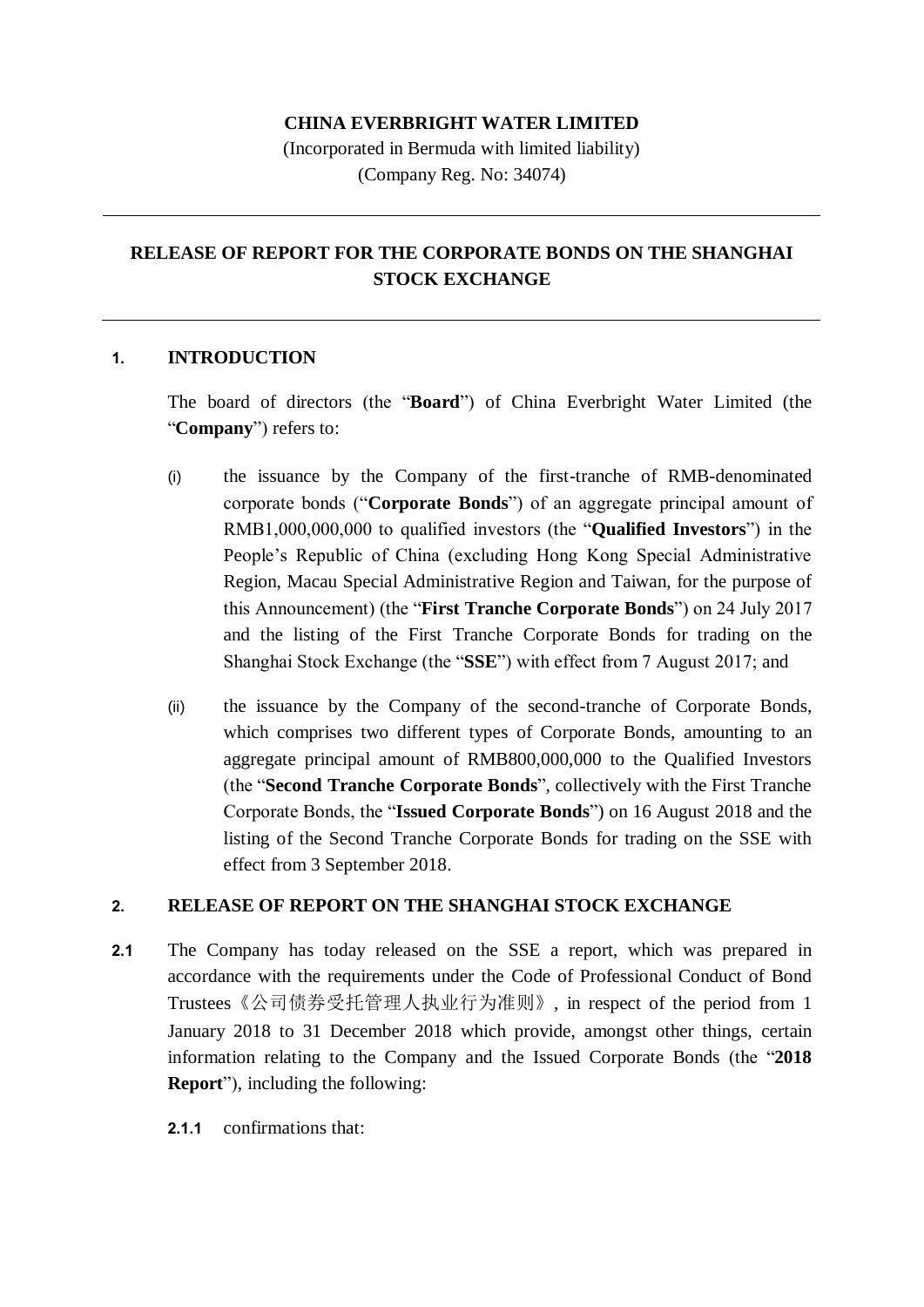### **CHINA EVERBRIGHT WATER LIMITED**

(Incorporated in Bermuda with limited liability) (Company Reg. No: 34074)

# **RELEASE OF REPORT FOR THE CORPORATE BONDS ON THE SHANGHAI STOCK EXCHANGE**

#### **1. INTRODUCTION**

The board of directors (the "**Board**") of China Everbright Water Limited (the "**Company**") refers to:

- (i) the issuance by the Company of the first-tranche of RMB-denominated corporate bonds ("**Corporate Bonds**") of an aggregate principal amount of RMB1,000,000,000 to qualified investors (the "**Qualified Investors**") in the People's Republic of China (excluding Hong Kong Special Administrative Region, Macau Special Administrative Region and Taiwan, for the purpose of this Announcement) (the "**First Tranche Corporate Bonds**") on 24 July 2017 and the listing of the First Tranche Corporate Bonds for trading on the Shanghai Stock Exchange (the "**SSE**") with effect from 7 August 2017; and
- (ii) the issuance by the Company of the second-tranche of Corporate Bonds, which comprises two different types of Corporate Bonds, amounting to an aggregate principal amount of RMB800,000,000 to the Qualified Investors (the "**Second Tranche Corporate Bonds**", collectively with the First Tranche Corporate Bonds, the "**Issued Corporate Bonds**") on 16 August 2018 and the listing of the Second Tranche Corporate Bonds for trading on the SSE with effect from 3 September 2018.

#### **2. RELEASE OF REPORT ON THE SHANGHAI STOCK EXCHANGE**

- **2.1** The Company has today released on the SSE a report, which was prepared in accordance with the requirements under the Code of Professional Conduct of Bond Trustees《公司债券受托管理人执业行为准则》, in respect of the period from 1 January 2018 to 31 December 2018 which provide, amongst other things, certain information relating to the Company and the Issued Corporate Bonds (the "**2018 Report**"), including the following:
	- **2.1.1** confirmations that: